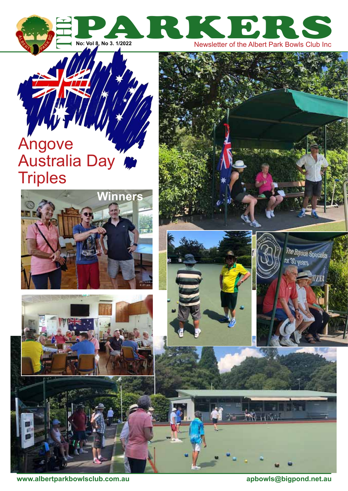

# Angove Australia Day **Triples**









**www.albertparkbowlsclub.com.au apbowls@bigpond.net.au**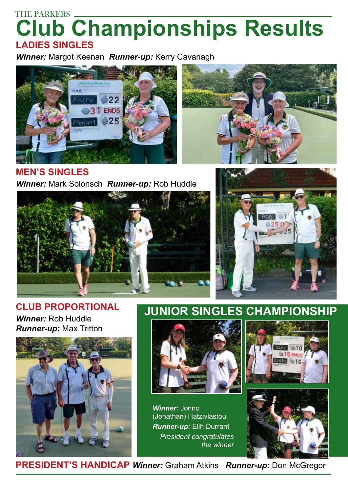# THE PARKERS -**Club Championships Results ladies singleS**

*Winner:* Margot Keenan *Runner-up:* Kerry Cavanagh



**Men's singleS** *Winner:* Mark Solonsch *Runner-up:* Rob Huddle





#### **Club proportional** *Winner:* Rob Huddle *Runner-up:* Max Tritton



## **Junior singles championship**



*Winner:* Jonno (Jonathan) Hatzivlastou *Runner-up:* Elih Durrant *President congratulates the winner*





 **president's handicap** *Winner:* Graham Atkins *Runner-up:* Don McGregor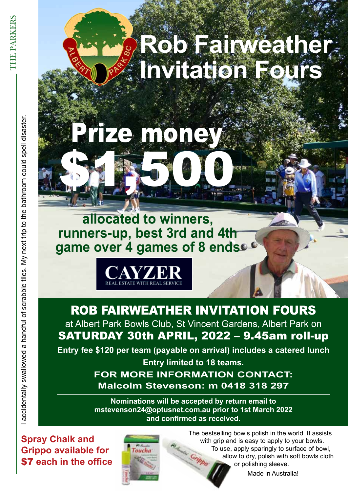**allocated to winners, runners-up, best 3rd and 4th**  game over 4 games of 8 ends<sup>c6</sup>

prize money

\$1,500



Rob FaiRweatheR invitation FouRs at Albert Park Bowls Club, St Vincent Gardens, Albert Park on satuRday 30th apRil, 2022 – 9.45am roll-up

**Entry fee \$120 per team (payable on arrival) includes a catered lunch** 

**Entry limited to 18 teams. FoR moRE InFoRmatIon contact: malcolm Stevenson: m 0418 318 297**

**nominations will be accepted by return email to mstevenson24@optusnet.com.au prior to 1st march 2022 and confirmed as received.**

**Spray Chalk and Grippo available for Example a handful of strip of the office**<br> **Example 2** access wall of the could supply substitute of same over the same over the spell of the bathroom could speed a handful of the bathroom could be the bathroom could be a



The bestselling bowls polish in the world. It assists with grip and is easy to apply to your bowls. To use, apply sparingly to surface of bowl, su Gripp allow to dry, polish with soft bowls cloth or polishing sleeve.

Made in Australia!

THE PARK **CHE PARKERS**